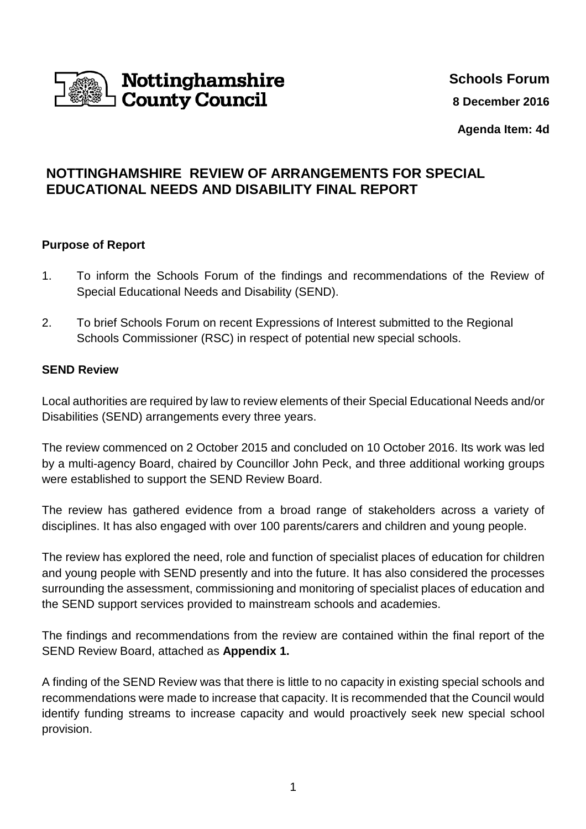

# **Schools Forum**

**8 December 2016** 

**Agenda Item: 4d**

# **NOTTINGHAMSHIRE REVIEW OF ARRANGEMENTS FOR SPECIAL EDUCATIONAL NEEDS AND DISABILITY FINAL REPORT**

## **Purpose of Report**

- 1. To inform the Schools Forum of the findings and recommendations of the Review of Special Educational Needs and Disability (SEND).
- 2. To brief Schools Forum on recent Expressions of Interest submitted to the Regional Schools Commissioner (RSC) in respect of potential new special schools.

#### **SEND Review**

Local authorities are required by law to review elements of their Special Educational Needs and/or Disabilities (SEND) arrangements every three years.

The review commenced on 2 October 2015 and concluded on 10 October 2016. Its work was led by a multi-agency Board, chaired by Councillor John Peck, and three additional working groups were established to support the SEND Review Board.

The review has gathered evidence from a broad range of stakeholders across a variety of disciplines. It has also engaged with over 100 parents/carers and children and young people.

The review has explored the need, role and function of specialist places of education for children and young people with SEND presently and into the future. It has also considered the processes surrounding the assessment, commissioning and monitoring of specialist places of education and the SEND support services provided to mainstream schools and academies.

The findings and recommendations from the review are contained within the final report of the SEND Review Board, attached as **Appendix 1.** 

A finding of the SEND Review was that there is little to no capacity in existing special schools and recommendations were made to increase that capacity. It is recommended that the Council would identify funding streams to increase capacity and would proactively seek new special school provision.